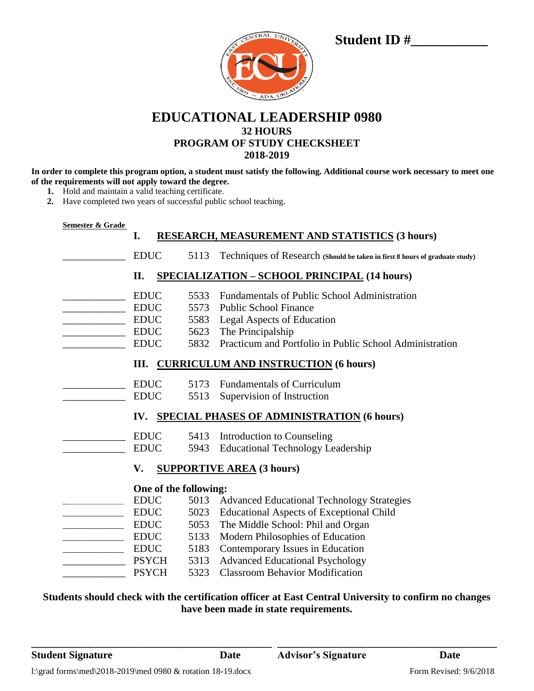| CENTRAL UNIVERSITY<br>$\mathbb{R}^{\mathbb{C}^2}$ |  |
|---------------------------------------------------|--|
|                                                   |  |
| BELOGO - ADA, OKLAHOM                             |  |

## **EDUCATIONAL LEADERSHIP 0980 32 HOURS PROGRAM OF STUDY CHECKSHEET 2018-2019**

**In order to complete this program option, a student must satisfy the following. Additional course work necessary to meet one of the requirements will not apply toward the degree.**

- **1.** Hold and maintain a valid teaching certificate.
- **2.** Have completed two years of successful public school teaching.

| Semester & Grade |  |
|------------------|--|
|                  |  |

### **I. RESEARCH, MEASUREMENT AND STATISTICS (3 hours)**

|                                                          |                                                                         |                                      | <u>еренкси, индрекенент дно этлтвенсю</u> (с пошз)                                                                                                                                         |  |
|----------------------------------------------------------|-------------------------------------------------------------------------|--------------------------------------|--------------------------------------------------------------------------------------------------------------------------------------------------------------------------------------------|--|
|                                                          | <b>EDUC</b>                                                             | 5113                                 | Techniques of Research (Should be taken in first 8 hours of graduate study)                                                                                                                |  |
|                                                          | П.                                                                      |                                      | <b>SPECIALIZATION - SCHOOL PRINCIPAL (14 hours)</b>                                                                                                                                        |  |
|                                                          | <b>EDUC</b><br><b>EDUC</b><br><b>EDUC</b><br><b>EDUC</b><br><b>EDUC</b> | 5533<br>5573<br>5583<br>5623<br>5832 | Fundamentals of Public School Administration<br><b>Public School Finance</b><br>Legal Aspects of Education<br>The Principalship<br>Practicum and Portfolio in Public School Administration |  |
|                                                          |                                                                         |                                      | III. CURRICULUM AND INSTRUCTION (6 hours)                                                                                                                                                  |  |
|                                                          | <b>EDUC</b><br><b>EDUC</b>                                              | 5173<br>5513                         | <b>Fundamentals of Curriculum</b><br>Supervision of Instruction                                                                                                                            |  |
| <b>SPECIAL PHASES OF ADMINISTRATION (6 hours)</b><br>IV. |                                                                         |                                      |                                                                                                                                                                                            |  |
|                                                          | <b>EDUC</b><br><b>EDUC</b>                                              | 5413<br>5943                         | Introduction to Counseling<br><b>Educational Technology Leadership</b>                                                                                                                     |  |
|                                                          | V.                                                                      |                                      | <b>SUPPORTIVE AREA (3 hours)</b>                                                                                                                                                           |  |
| One of the following:                                    |                                                                         |                                      |                                                                                                                                                                                            |  |
|                                                          | <b>EDUC</b><br><b>EDUC</b>                                              | 5013<br>5023                         | <b>Advanced Educational Technology Strategies</b><br><b>Educational Aspects of Exceptional Child</b>                                                                                       |  |
| <u> 1999 - Johann Barbara, martin a</u>                  | <b>EDUC</b>                                                             | 5053                                 | The Middle School: Phil and Organ                                                                                                                                                          |  |
|                                                          | <b>EDUC</b>                                                             | 5133                                 | Modern Philosophies of Education                                                                                                                                                           |  |
| <u> 1989 - Johann Barbara, mart</u>                      | <b>EDUC</b>                                                             | 5183                                 | Contemporary Issues in Education                                                                                                                                                           |  |
|                                                          | <b>PSYCH</b>                                                            | 5313                                 | <b>Advanced Educational Psychology</b>                                                                                                                                                     |  |
|                                                          | <b>PSYCH</b>                                                            | 5323                                 | <b>Classroom Behavior Modification</b>                                                                                                                                                     |  |
|                                                          |                                                                         |                                      |                                                                                                                                                                                            |  |

## **Students should check with the certification officer at East Central University to confirm no changes have been made in state requirements.**

**\_\_\_\_\_\_\_\_\_\_\_\_\_\_\_\_\_\_\_\_\_\_\_\_\_\_\_\_\_\_\_\_\_\_\_\_\_\_\_\_\_\_\_\_\_\_ \_\_\_\_\_\_\_\_\_\_\_\_\_\_\_\_\_\_\_\_\_\_\_\_\_\_\_\_\_\_\_\_\_\_\_\_\_\_\_\_\_\_**